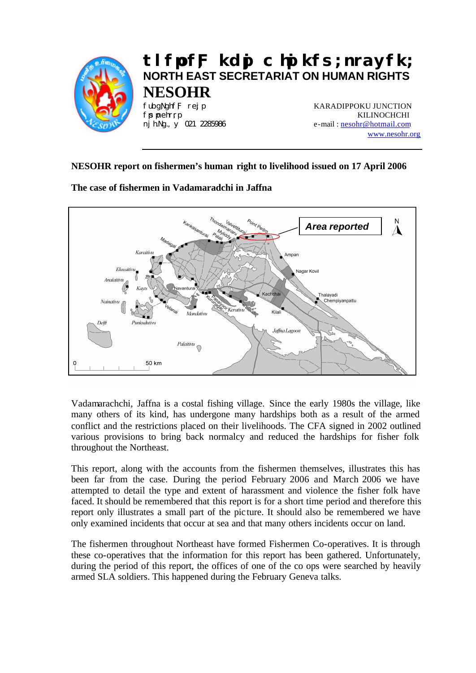

# **tlfpof;F kdpj chpikfs; nrayfk; NORTH EAST SECRETARIAT ON HUMAN RIGHTS NESOHR**

fubgNghf;F rej p **KARADIPPOKU JUNCTION** fpspnehr;rp KILINOCHCHI nj h.Ng., y 021 2285986 e-mail: nesohr@hotmail.com www.nesohr.org

# **NESOHR report on fishermen's human right to livelihood issued on 17 April 2006**

**The case of fishermen in Vadamaradchi in Jaffna**



Vadamarachchi, Jaffna is a costal fishing village. Since the early 1980s the village, like many others of its kind, has undergone many hardships both as a result of the armed conflict and the restrictions placed on their livelihoods. The CFA signed in 2002 outlined various provisions to bring back normalcy and reduced the hardships for fisher folk throughout the Northeast.

This report, along with the accounts from the fishermen themselves, illustrates this has been far from the case. During the period February 2006 and March 2006 we have attempted to detail the type and extent of harassment and violence the fisher folk have faced. It should be remembered that this report is for a short time period and therefore this report only illustrates a small part of the pic ture. It should also be remembered we have only examined incidents that occur at sea and that many others incidents occur on land.

The fishermen throughout Northeast have formed Fishermen Co-operatives. It is through these co-operatives that the information for this report has been gathered. Unfortunately, during the period of this report, the offices of one of the co ops were searched by heavily armed SLA soldiers. This happened during the February Geneva talks.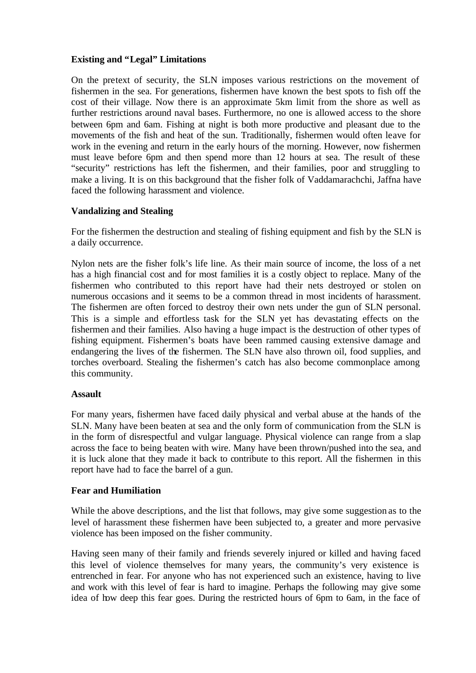## **Existing and "Legal" Limitations**

On the pretext of security, the SLN imposes various restrictions on the movement of fishermen in the sea. For generations, fishermen have known the best spots to fish off the cost of their village. Now there is an approximate 5km limit from the shore as well as further restrictions around naval bases. Furthermore, no one is allowed access to the shore between 6pm and 6am. Fishing at night is both more productive and pleasant due to the movements of the fish and heat of the sun. Traditionally, fishermen would often leave for work in the evening and return in the early hours of the morning. However, now fishermen must leave before 6pm and then spend more than 12 hours at sea. The result of these "security" restrictions has left the fishermen, and their families, poor and struggling to make a living. It is on this background that the fisher folk of Vaddamarachchi, Jaffna have faced the following harassment and violence.

## **Vandalizing and Stealing**

For the fishermen the destruction and stealing of fishing equipment and fish by the SLN is a daily occurrence.

Nylon nets are the fisher folk's life line. As their main source of income, the loss of a net has a high financial cost and for most families it is a costly object to replace. Many of the fishermen who contributed to this report have had their nets destroyed or stolen on numerous occasions and it seems to be a common thread in most incidents of harassment. The fishermen are often forced to destroy their own nets under the gun of SLN personal. This is a simple and effortless task for the SLN yet has devastating effects on the fishermen and their families. Also having a huge impact is the destruction of other types of fishing equipment. Fishermen's boats have been rammed causing extensive damage and endangering the lives of the fishermen. The SLN have also thrown oil, food supplies, and torches overboard. Stealing the fishermen's catch has also become commonplace among this community.

#### **Assault**

For many years, fishermen have faced daily physical and verbal abuse at the hands of the SLN. Many have been beaten at sea and the only form of communication from the SLN is in the form of disrespectful and vulgar language. Physical violence can range from a slap across the face to being beaten with wire. Many have been thrown/pushed into the sea, and it is luck alone that they made it back to contribute to this report. All the fishermen in this report have had to face the barrel of a gun.

#### **Fear and Humiliation**

While the above descriptions, and the list that follows, may give some suggestion as to the level of harassment these fishermen have been subjected to, a greater and more pervasive violence has been imposed on the fisher community.

Having seen many of their family and friends severely injured or killed and having faced this level of violence themselves for many years, the community's very existence is entrenched in fear. For anyone who has not experienced such an existence, having to live and work with this level of fear is hard to imagine. Perhaps the following may give some idea of how deep this fear goes. During the restricted hours of 6pm to 6am, in the face of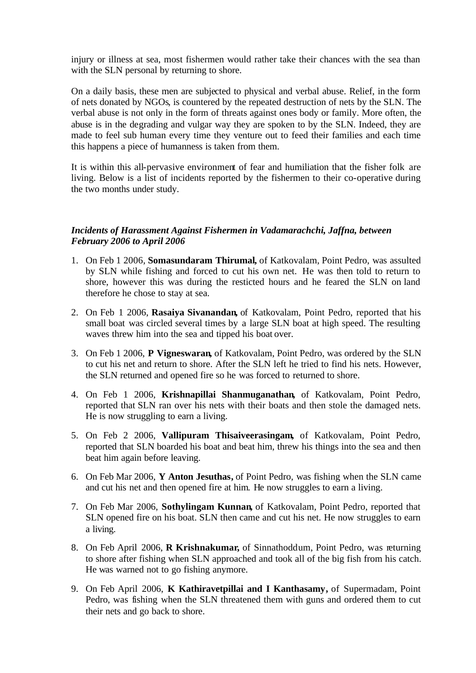injury or illness at sea, most fishermen would rather take their chances with the sea than with the SLN personal by returning to shore.

On a daily basis, these men are subjected to physical and verbal abuse. Relief, in the form of nets donated by NGOs, is countered by the repeated destruction of nets by the SLN. The verbal abuse is not only in the form of threats against ones body or family. More often, the abuse is in the degrading and vulgar way they are spoken to by the SLN. Indeed, they are made to feel sub human every time they venture out to feed their families and each time this happens a piece of humanness is taken from them.

It is within this all-pervasive environment of fear and humiliation that the fisher folk are living. Below is a list of incidents reported by the fishermen to their co-operative during the two months under study.

#### *Incidents of Harassment Against Fishermen in Vadamarachchi, Jaffna, between February 2006 to April 2006*

- 1. On Feb 1 2006, **Somasundaram Thirumal,** of Katkovalam, Point Pedro, was assulted by SLN while fishing and forced to cut his own net. He was then told to return to shore, however this was during the resticted hours and he feared the SLN on land therefore he chose to stay at sea.
- 2. On Feb 1 2006, **Rasaiya Sivanandan,** of Katkovalam, Point Pedro, reported that his small boat was circled several times by a large SLN boat at high speed. The resulting waves threw him into the sea and tipped his boat over.
- 3. On Feb 1 2006, **P Vigneswaran,** of Katkovalam, Point Pedro, was ordered by the SLN to cut his net and return to shore. After the SLN left he tried to find his nets. However, the SLN returned and opened fire so he was forced to returned to shore.
- 4. On Feb 1 2006, **Krishnapillai Shanmuganathan,** of Katkovalam, Point Pedro, reported that SLN ran over his nets with their boats and then stole the damaged nets. He is now struggling to earn a living.
- 5. On Feb 2 2006, **Vallipuram Thisaiveerasingam,** of Katkovalam, Point Pedro, reported that SLN boarded his boat and beat him, threw his things into the sea and then beat him again before leaving.
- 6. On Feb Mar 2006, **Y Anton Jesuthas,** of Point Pedro, was fishing when the SLN came and cut his net and then opened fire at him. He now struggles to earn a living.
- 7. On Feb Mar 2006, **Sothylingam Kunnan,** of Katkovalam, Point Pedro, reported that SLN opened fire on his boat. SLN then came and cut his net. He now struggles to earn a living.
- 8. On Feb April 2006, **R Krishnakumar,** of Sinnathoddum, Point Pedro, was returning to shore after fishing when SLN approached and took all of the big fish from his catch. He was warned not to go fishing anymore.
- 9. On Feb April 2006, **K Kathiravetpillai and I Kanthasamy,** of Supermadam, Point Pedro, was fishing when the SLN threatened them with guns and ordered them to cut their nets and go back to shore.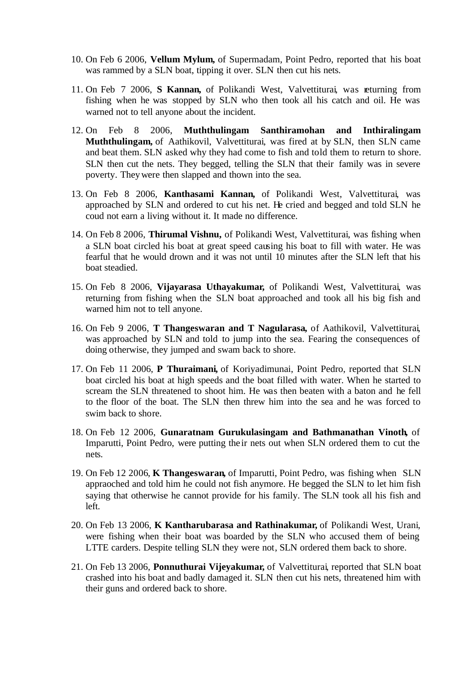- 10. On Feb 6 2006, **Vellum Mylum,** of Supermadam, Point Pedro, reported that his boat was rammed by a SLN boat, tipping it over. SLN then cut his nets.
- 11. On Feb 7 2006, **S Kannan,** of Polikandi West, Valvettiturai, was returning from fishing when he was stopped by SLN who then took all his catch and oil. He was warned not to tell anyone about the incident.
- 12. On Feb 8 2006, **Muththulingam Santhiramohan and Inthiralingam Muththulingam,** of Aathikovil, Valvettiturai, was fired at by SLN, then SLN came and beat them. SLN asked why they had come to fish and told them to return to shore. SLN then cut the nets. They begged, telling the SLN that their family was in severe poverty. They were then slapped and thown into the sea.
- 13. On Feb 8 2006, **Kanthasami Kannan,** of Polikandi West, Valvettiturai, was approached by SLN and ordered to cut his net. He cried and begged and told SLN he coud not earn a living without it. It made no difference.
- 14. On Feb 8 2006, **Thirumal Vishnu,** of Polikandi West, Valvettiturai, was fishing when a SLN boat circled his boat at great speed causing his boat to fill with water. He was fearful that he would drown and it was not until 10 minutes after the SLN left that his boat steadied.
- 15. On Feb 8 2006, **Vijayarasa Uthayakumar,** of Polikandi West, Valvettiturai, was returning from fishing when the SLN boat approached and took all his big fish and warned him not to tell anyone.
- 16. On Feb 9 2006, **T Thangeswaran and T Nagularasa,** of Aathikovil, Valvettiturai, was approached by SLN and told to jump into the sea. Fearing the consequences of doing otherwise, they jumped and swam back to shore.
- 17. On Feb 11 2006, **P Thuraimani,** of Koriyadimunai, Point Pedro, reported that SLN boat circled his boat at high speeds and the boat filled with water. When he started to scream the SLN threatened to shoot him. He was then beaten with a baton and he fell to the floor of the boat. The SLN then threw him into the sea and he was forced to swim back to shore.
- 18. On Feb 12 2006, **Gunaratnam Gurukulasingam and Bathmanathan Vinoth,** of Imparutti, Point Pedro, were putting the ir nets out when SLN ordered them to cut the nets.
- 19. On Feb 12 2006, **K Thangeswaran,** of Imparutti, Point Pedro, was fishing when SLN appraoched and told him he could not fish anymore. He begged the SLN to let him fish saying that otherwise he cannot provide for his family. The SLN took all his fish and left.
- 20. On Feb 13 2006, **K Kantharubarasa and Rathinakumar,** of Polikandi West, Urani, were fishing when their boat was boarded by the SLN who accused them of being LTTE carders. Despite telling SLN they were not, SLN ordered them back to shore.
- 21. On Feb 13 2006, **Ponnuthurai Vijeyakumar,** of Valvettiturai, reported that SLN boat crashed into his boat and badly damaged it. SLN then cut his nets, threatened him with their guns and ordered back to shore.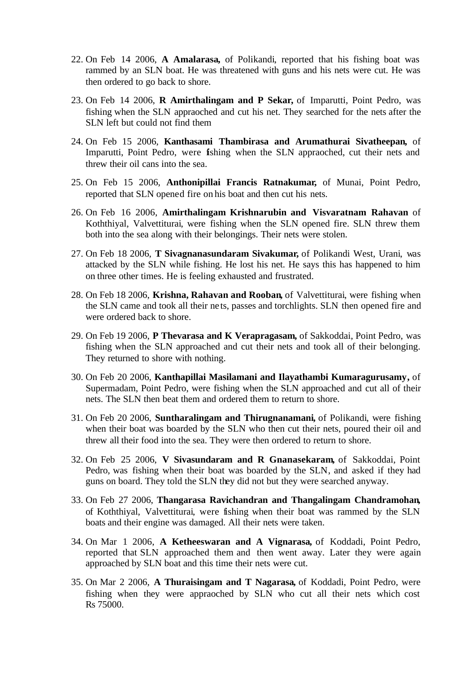- 22. On Feb 14 2006, **A Amalarasa,** of Polikandi, reported that his fishing boat was rammed by an SLN boat. He was threatened with guns and his nets were cut. He was then ordered to go back to shore.
- 23. On Feb 14 2006, **R Amirthalingam and P Sekar,** of Imparutti, Point Pedro, was fishing when the SLN appraoched and cut his net. They searched for the nets after the SLN left but could not find them
- 24. On Feb 15 2006, **Kanthasami Thambirasa and Arumathurai Sivatheepan,** of Imparutti, Point Pedro, were fishing when the SLN appraoched, cut their nets and threw their oil cans into the sea.
- 25. On Feb 15 2006, **Anthonipillai Francis Ratnakumar,** of Munai, Point Pedro, reported that SLN opened fire on his boat and then cut his nets.
- 26. On Feb 16 2006, **Amirthalingam Krishnarubin and Visvaratnam Rahavan** of Koththiyal, Valvettiturai, were fishing when the SLN opened fire. SLN threw them both into the sea along with their belongings. Their nets were stolen.
- 27. On Feb 18 2006, **T Sivagnanasundaram Sivakumar,** of Polikandi West, Urani, was attacked by the SLN while fishing. He lost his net. He says this has happened to him on three other times. He is feeling exhausted and frustrated.
- 28. On Feb 18 2006, **Krishna, Rahavan and Rooban,** of Valvettiturai, were fishing when the SLN came and took all their ne ts, passes and torchlights. SLN then opened fire and were ordered back to shore.
- 29. On Feb 19 2006, **P Thevarasa and K Verapragasam,** of Sakkoddai, Point Pedro, was fishing when the SLN approached and cut their nets and took all of their belonging. They returned to shore with nothing.
- 30. On Feb 20 2006, **Kanthapillai Masilamani and Ilayathambi Kumaragurusamy,** of Supermadam, Point Pedro, were fishing when the SLN approached and cut all of their nets. The SLN then beat them and ordered them to return to shore.
- 31. On Feb 20 2006, **Suntharalingam and Thirugnanamani,** of Polikandi, were fishing when their boat was boarded by the SLN who then cut their nets, poured their oil and threw all their food into the sea. They were then ordered to return to shore.
- 32. On Feb 25 2006, **V Sivasundaram and R Gnanasekaram,** of Sakkoddai, Point Pedro, was fishing when their boat was boarded by the SLN, and asked if they had guns on board. They told the SLN they did not but they were searched anyway.
- 33. On Feb 27 2006, **Thangarasa Ravichandran and Thangalingam Chandramohan,** of Koththiyal, Valvettiturai, were fishing when their boat was rammed by the SLN boats and their engine was damaged. All their nets were taken.
- 34. On Mar 1 2006, **A Ketheeswaran and A Vignarasa,** of Koddadi, Point Pedro, reported that SLN approached them and then went away. Later they were again approached by SLN boat and this time their nets were cut.
- 35. On Mar 2 2006, **A Thuraisingam and T Nagarasa,** of Koddadi, Point Pedro, were fishing when they were appraoched by SLN who cut all their nets which cost Rs 75000.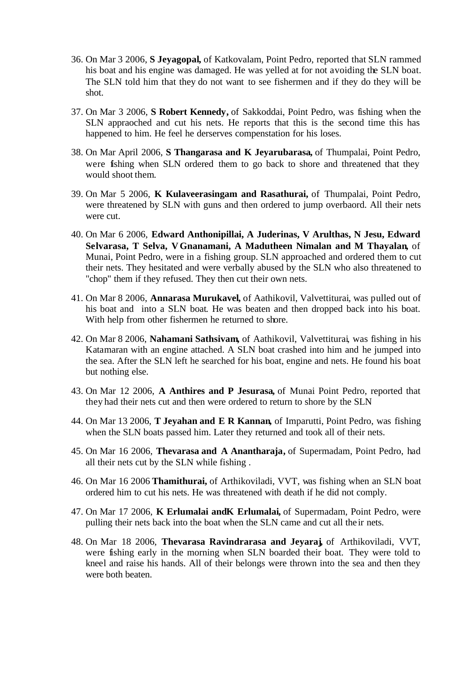- 36. On Mar 3 2006, **S Jeyagopal,** of Katkovalam, Point Pedro, reported that SLN rammed his boat and his engine was damaged. He was yelled at for not avoiding the SLN boat. The SLN told him that they do not want to see fishermen and if they do they will be shot.
- 37. On Mar 3 2006, **S Robert Kennedy,** of Sakkoddai, Point Pedro, was fishing when the SLN appraoched and cut his nets. He reports that this is the second time this has happened to him. He feel he derserves compenstation for his loses.
- 38. On Mar April 2006, **S Thangarasa and K Jeyarubarasa,** of Thumpalai, Point Pedro, were fishing when SLN ordered them to go back to shore and threatened that they would shoot them.
- 39. On Mar 5 2006, **K Kulaveerasingam and Rasathurai,** of Thumpalai, Point Pedro, were threatened by SLN with guns and then ordered to jump overbaord. All their nets were cut.
- 40. On Mar 6 2006, **Edward Anthonipillai, A Juderinas, V Arulthas, N Jesu, Edward Selvarasa, T Selva, V Gnanamani, A Madutheen Nimalan and M Thayalan,** of Munai, Point Pedro, were in a fishing group. SLN approached and ordered them to cut their nets. They hesitated and were verbally abused by the SLN who also threatened to "chop" them if they refused. They then cut their own nets.
- 41. On Mar 8 2006, **Annarasa Murukavel,** of Aathikovil, Valvettiturai, was pulled out of his boat and into a SLN boat. He was beaten and then dropped back into his boat. With help from other fishermen he returned to shore.
- 42. On Mar 8 2006, **Nahamani Sathsivam,** of Aathikovil, Valvettiturai, was fishing in his Katamaran with an engine attached. A SLN boat crashed into him and he jumped into the sea. After the SLN left he searched for his boat, engine and nets. He found his boat but nothing else.
- 43. On Mar 12 2006, **A Anthires and P Jesurasa,** of Munai Point Pedro, reported that they had their nets cut and then were ordered to return to shore by the SLN
- 44. On Mar 13 2006, **T Jeyahan and E R Kannan,** of Imparutti, Point Pedro, was fishing when the SLN boats passed him. Later they returned and took all of their nets.
- 45. On Mar 16 2006, **Thevarasa and A Anantharaja,** of Supermadam, Point Pedro, had all their nets cut by the SLN while fishing .
- 46. On Mar 16 2006 **Thamithurai,** of Arthikoviladi, VVT, was fishing when an SLN boat ordered him to cut his nets. He was threatened with death if he did not comply.
- 47. On Mar 17 2006, **K Erlumalai andK Erlumalai,** of Supermadam, Point Pedro, were pulling their nets back into the boat when the SLN came and cut all the ir nets.
- 48. On Mar 18 2006, **Thevarasa Ravindrarasa and Jeyaraj,** of Arthikoviladi, VVT, were fishing early in the morning when SLN boarded their boat. They were told to kneel and raise his hands. All of their belongs were thrown into the sea and then they were both beaten.